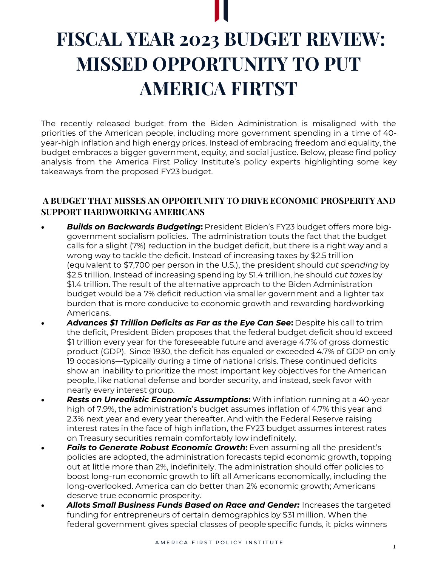

# **FISCAL YEAR 2023 BUDGET REVIEW: MISSED OPPORTUNITY TO PUT AMERICA FIRTST**

The recently released budget from the Biden Administration is misaligned with the priorities of the American people, including more government spending in a time of 40 year-high inflation and high energy prices. Instead of embracing freedom and equality, the budget embraces a bigger government, equity, and social justice. Below, please find policy analysis from the America First Policy Institute's policy experts highlighting some key takeaways from the proposed FY23 budget.

## **A BUDGET THAT MISSES AN OPPORTUNITY TO DRIVE ECONOMIC PROSPERITY AND SUPPORT HARDWORKING AMERICANS**

- *Builds on Backwards Budgeting***:** President Biden's FY23 budget offers more biggovernment socialism policies. The administration touts the fact that the budget calls for a slight (7%) reduction in the budget deficit, but there is a right way and a wrong way to tackle the deficit. Instead of increasing taxes by \$2.5 trillion (equivalent to \$7,700 per person in the U.S.), the president should *cut spending* by \$2.5 trillion. Instead of increasing spending by \$1.4 trillion, he should *cut taxes* by \$1.4 trillion. The result of the alternative approach to the Biden Administration budget would be a 7% deficit reduction via smaller government and a lighter tax burden that is more conducive to economic growth and rewarding hardworking Americans.
- *Advances \$1 Trillion Deficits as Far as the Eye Can See***:** Despite his call to trim the deficit, President Biden proposes that the federal budget deficit should exceed \$1 trillion every year for the foreseeable future and average 4.7% of gross domestic product (GDP). Since 1930, the deficit has equaled or exceeded 4.7% of GDP on only 19 occasions—typically during a time of national crisis. These continued deficits show an inability to prioritize the most important key objectives for the American people, like national defense and border security, and instead, seek favor with nearly every interest group.
- *Rests on Unrealistic Economic Assumptions***:** With inflation running at a 40-year high of 7.9%, the administration's budget assumes inflation of 4.7% this year and 2.3% next year and every year thereafter. And with the Federal Reserve raising interest rates in the face of high inflation, the FY23 budget assumes interest rates on Treasury securities remain comfortably low indefinitely.
- *Fails to Generate Robust Economic Growth***:** Even assuming all the president's policies are adopted, the administration forecasts tepid economic growth, topping out at little more than 2%, indefinitely. The administration should offer policies to boost long-run economic growth to lift all Americans economically, including the long-overlooked. America can do better than 2% economic growth; Americans deserve true economic prosperity.
- *Allots Small Business Funds Based on Race and Gender:* Increases the targeted funding for entrepreneurs of certain demographics by \$31 million. When the federal government gives special classes of people specific funds, it picks winners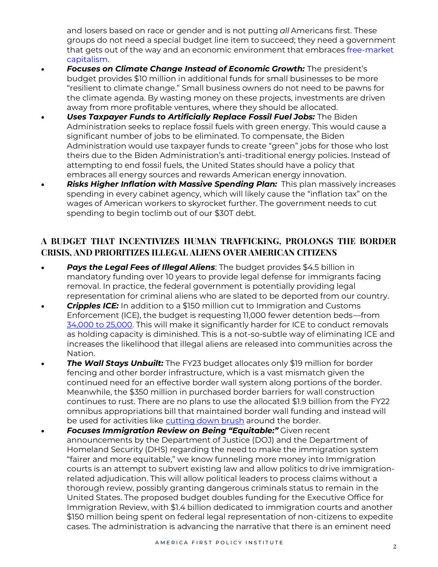and losers based on race or gender and is not putting *all* Americans first. These groups do not need a special budget line item to succeed; they need a government that gets out of the way and an economic environment that embraces [free-market](https://www.nationalreview.com/2020/09/free-market-capitalism-best-for-poor/)  [capitalism.](https://www.nationalreview.com/2020/09/free-market-capitalism-best-for-poor/)

- *Focuses on Climate Change Instead of Economic Growth:* The president's budget provides \$10 million in additional funds for small businesses to be more "resilient to climate change." Small business owners do not need to be pawns for the climate agenda. By wasting money on these projects, investments are driven away from more profitable ventures, where they should be allocated.
- **Uses Taxpayer Funds to Artificially Replace Fossil Fuel Jobs:** The Biden Administration seeks to replace fossil fuels with green energy. This would cause a significant number of jobs to be eliminated. To compensate, the Biden Administration would use taxpayer funds to create "green" jobs for those who lost theirs due to the Biden Administration's anti-traditional energy policies. Instead of attempting to end fossil fuels, the United States should have a policy that embraces all energy sources and rewards American energy innovation.
- *Risks Higher Inflation with Massive Spending Plan:* This plan massively increases spending in every cabinet agency, which will likely cause the "inflation tax" on the wages of American workers to skyrocket further. The government needs to cut spending to begin toclimb out of our \$30T debt.

# **A BUDGET THAT INCENTIVIZES HUMAN TRAFFICKING, PROLONGS THE BORDER CRISIS, AND PRIORITIZES ILLEGAL ALIENS OVER AMERICAN CITIZENS**

- *Pays the Legal Fees of Illegal Aliens*: The budget provides \$4.5 billion in mandatory funding over 10 years to provide legal defense for immigrants facing removal. In practice, the federal government is potentially providing legal representation for criminal aliens who are slated to be deported from our country.
- *Cripples ICE:* In addition to a \$150 million cut to Immigration and Customs Enforcement (ICE), the budget is requesting 11,000 fewer detention beds—from [34,000 to 25,000.](https://cis.org/Arthur/Biden-Moves-Cut-ICE-Detention) This will make it significantly harder for ICE to conduct removals as holding capacity is diminished. This is a not-so-subtle way of eliminating ICE and increases the likelihood that illegal aliens are released into communities across the Nation.
- **The Wall Stays Unbuilt:** The FY23 budget allocates only \$19 million for border fencing and other border infrastructure, which is a vast mismatch given the continued need for an effective border wall system along portions of the border. Meanwhile, the \$350 million in purchased border barriers for wall construction continues to rust. There are no plans to use the allocated \$1.9 billion from the FY22 omnibus appropriations bill that maintained border wall funding and instead will be used for activities like [cutting down brush](https://www.washingtontimes.com/news/2022/mar/28/joe-bidens-budget-siphons-money-border-wall/) around the border.
- *Focuses Immigration Review on Being "Equitable:"* Given recent announcements by the Department of Justice (DOJ) and the Department of Homeland Security (DHS) regarding the need to make the immigration system "fairer and more equitable," we know funneling more money into Immigration courts is an attempt to subvert existing law and allow politics to drive immigrationrelated adjudication. This will allow political leaders to process claims without a thorough review, possibly granting dangerous criminals status to remain in the United States. The proposed budget doubles funding for the Executive Office for Immigration Review, with \$1.4 billion dedicated to immigration courts and another \$150 million being spent on federal legal representation of non-citizens to expedite cases. The administration is advancing the narrative that there is an eminent need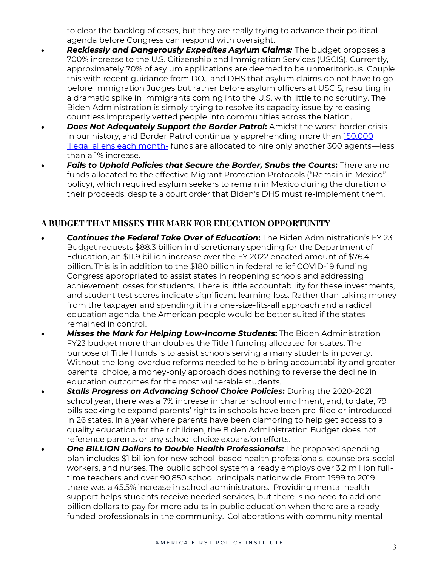to clear the backlog of cases, but they are really trying to advance their political agenda before Congress can respond with oversight.

- *Recklessly and Dangerously Expedites Asylum Claims:* The budget proposes a 700% increase to the U.S. Citizenship and Immigration Services (USCIS). Currently, approximately 70% of asylum applications are deemed to be unmeritorious. Couple this with recent guidance from DOJ and DHS that asylum claims do not have to go before Immigration Judges but rather before asylum officers at USCIS, resulting in a dramatic spike in immigrants coming into the U.S. with little to no scrutiny. The Biden Administration is simply trying to resolve its capacity issue by releasing countless improperly vetted people into communities across the Nation.
- *Does Not Adequately Support the Border Patrol***:** Amidst the worst border crisis in our history, and Border Patrol continually apprehending more than [150,000](https://www.cbp.gov/newsroom/stats/southwest-land-border-encounters)  [illegal aliens each month-](https://www.cbp.gov/newsroom/stats/southwest-land-border-encounters) funds are allocated to hire only another 300 agents—less than a 1% increase.
- *Fails to Uphold Policies that Secure the Border, Snubs the Courts***:** There are no funds allocated to the effective Migrant Protection Protocols ("Remain in Mexico" policy), which required asylum seekers to remain in Mexico during the duration of their proceeds, despite a court order that Biden's DHS must re-implement them.

## **A BUDGET THAT MISSES THE MARK FOR EDUCATION OPPORTUNITY**

- *Continues the Federal Take Over of Education***:** The Biden Administration's FY 23 Budget requests \$88.3 billion in discretionary spending for the Department of Education, an \$11.9 billion increase over the FY 2022 enacted amount of \$76.4 billion. This is in addition to the \$180 billion in federal relief COVID-19 funding Congress appropriated to assist states in reopening schools and addressing achievement losses for students. There is little accountability for these investments, and student test scores indicate significant learning loss. Rather than taking money from the taxpayer and spending it in a one-size-fits-all approach and a radical education agenda, the American people would be better suited if the states remained in control.
- *Misses the Mark for Helping Low-Income Students***:** The Biden Administration FY23 budget more than doubles the Title 1 funding allocated for states. The purpose of Title I funds is to assist schools serving a many students in poverty. Without the long-overdue reforms needed to help bring accountability and greater parental choice, a money-only approach does nothing to reverse the decline in education outcomes for the most vulnerable students.
- *Stalls Progress on Advancing School Choice Policies***:** During the 2020-2021 school year, there was a 7% increase in charter school enrollment, and, to date, 79 bills seeking to expand parents' rights in schools have been pre-filed or introduced in 26 states. In a year where parents have been clamoring to help get access to a quality education for their children, the Biden Administration Budget does not reference parents or any school choice expansion efforts.
- *One BILLION Dollars to Double Health Professionals:* The proposed spending plan includes \$1 billion for new school-based health professionals, counselors, social workers, and nurses. The public school system already employs over 3.2 million fulltime teachers and over 90,850 school principals nationwide. From 1999 to 2019 there was a 45.5% increase in school administrators. Providing mental health support helps students receive needed services, but there is no need to add one billion dollars to pay for more adults in public education when there are already funded professionals in the community.  Collaborations with community mental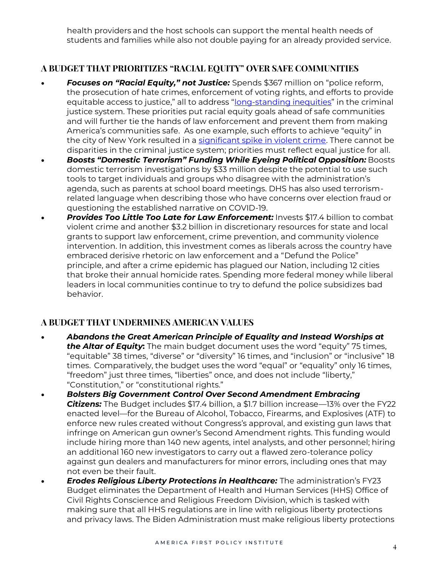health providers and the host schools can support the mental health needs of students and families while also not double paying for an already provided service.

# **A BUDGET THAT PRIORITIZES "RACIAL EQUITY" OVER SAFE COMMUNITIES**

- *Focuses on "Racial Equity," not Justice:* Spends \$367 million on "police reform, the prosecution of hate crimes, enforcement of voting rights, and efforts to provide equitable access to justice," all to address "[long-standing inequities](https://americanmilitarynews.com/2022/03/bidens-2023-budget-adds-30-billion-police-funding-expands-atf/)" in the criminal justice system. These priorities put racial equity goals ahead of safe communities and will further tie the hands of law enforcement and prevent them from making America's communities safe. As one example, such efforts to achieve "equity" in the city of New York resulted in a [significant spike in violent crime.](https://www.foxnews.com/us/new-york-city-reforms-race-created-more-problems-expert) There cannot be disparities in the criminal justice system; priorities must reflect equal justice for all.
- *Boosts "Domestic Terrorism" Funding While Eyeing Political Opposition:* Boosts domestic terrorism investigations by \$33 million despite the potential to use such tools to target individuals and groups who disagree with the administration's agenda, such as parents at school board meetings. DHS has also used terrorismrelated language when describing those who have concerns over election fraud or questioning the established narrative on COVID-19.
- *Provides Too Little Too Late for Law Enforcement:* Invests \$17.4 billion to combat violent crime and another \$3.2 billion in discretionary resources for state and local grants to support law enforcement, crime prevention, and community violence intervention. In addition, this investment comes as liberals across the country have embraced derisive rhetoric on law enforcement and a "Defund the Police" principle, and after a crime epidemic has plagued our Nation, including 12 cities that broke their annual homicide rates. Spending more federal money while liberal leaders in local communities continue to try to defund the police subsidizes bad behavior.

#### **A BUDGET THAT UNDERMINES AMERICAN VALUES**

- *Abandons the Great American Principle of Equality and Instead Worships at the Altar of Equity***:** The main budget document uses the word "equity" 75 times, "equitable" 38 times, "diverse" or "diversity" 16 times, and "inclusion" or "inclusive" 18 times.  Comparatively, the budget uses the word "equal" or "equality" only 16 times, "freedom" just three times, "liberties" once, and does not include "liberty," "Constitution," or "constitutional rights."
- *Bolsters Big Government Control Over Second Amendment Embracing Citizens:* The Budget includes \$17.4 billion, a \$1.7 billion increase—13% over the FY22 enacted level—for the Bureau of Alcohol, Tobacco, Firearms, and Explosives (ATF) to enforce new rules created without Congress's approval, and existing gun laws that infringe on American gun owner's Second Amendment rights. This funding would include hiring more than 140 new agents, intel analysts, and other personnel; hiring an additional 160 new investigators to carry out a flawed zero-tolerance policy against gun dealers and manufacturers for minor errors, including ones that may not even be their fault.
- *Erodes Religious Liberty Protections in Healthcare:* The administration's FY23 Budget eliminates the Department of Health and Human Services (HHS) Office of Civil Rights Conscience and Religious Freedom Division, which is tasked with making sure that all HHS regulations are in line with religious liberty protections and privacy laws. The Biden Administration must make religious liberty protections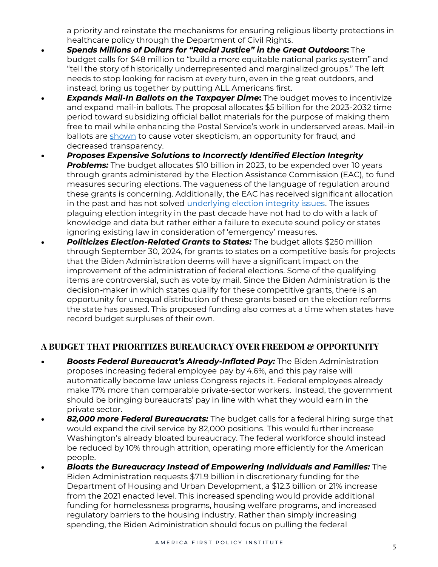a priority and reinstate the mechanisms for ensuring religious liberty protections in healthcare policy through the Department of Civil Rights.  

- *Spends Millions of Dollars for "Racial Justice" in the Great Outdoors***:** The budget calls for \$48 million to "build a more equitable national parks system" and "tell the story of historically underrepresented and marginalized groups." The left needs to stop looking for racism at every turn, even in the great outdoors, and instead, bring us together by putting ALL Americans first.
- *Expands Mail-In Ballots on the Taxpayer Dime***:** The budget moves to incentivize and expand mail-in ballots. The proposal allocates \$5 billion for the 2023-2032 time period toward subsidizing official ballot materials for the purpose of making them free to mail while enhancing the Postal Service's work in underserved areas. Mail-in ballots are [shown](https://www.rasmussenreports.com/public_content/politics/elections/election_2020/most_say_mail_in_voting_worked_but_47_say_fraud_likely) to cause voter skepticism, an opportunity for fraud, and decreased transparency.
- *Proposes Expensive Solutions to Incorrectly Identified Election Integrity*  **Problems:** The budget allocates \$10 billion in 2023, to be expended over 10 years through grants administered by the Election Assistance Commission (EAC), to fund measures securing elections. The vagueness of the language of regulation around these grants is concerning. Additionally, the EAC has received significant allocation in the past and has not solved [underlying election integrity issues.](https://americafirstpolicy.com/latest/the-top-25-common-sense-state-election-integrity-reforms) The issues plaguing election integrity in the past decade have not had to do with a lack of knowledge and data but rather either a failure to execute sound policy or states ignoring existing law in consideration of 'emergency' measures.
- *Politicizes Election-Related Grants to States:* The budget allots \$250 million through September 30, 2024, for grants to states on a competitive basis for projects that the Biden Administration deems will have a significant impact on the improvement of the administration of federal elections. Some of the qualifying items are controversial, such as vote by mail. Since the Biden Administration is the decision-maker in which states qualify for these competitive grants, there is an opportunity for unequal distribution of these grants based on the election reforms the state has passed. This proposed funding also comes at a time when states have record budget surpluses of their own.

#### **A BUDGET THAT PRIORITIZES BUREAUCRACY OVER FREEDOM & OPPORTUNITY**

- *Boosts Federal Bureaucrat's Already-Inflated Pay:* The Biden Administration proposes increasing federal employee pay by 4.6%, and this pay raise will automatically become law unless Congress rejects it. Federal employees already make 17% more than comparable private-sector workers. Instead, the government should be bringing bureaucrats' pay in line with what they would earn in the private sector.
- *82,000 more Federal Bureaucrats:* The budget calls for a federal hiring surge that would expand the civil service by 82,000 positions. This would further increase Washington's already bloated bureaucracy. The federal workforce should instead be reduced by 10% through attrition, operating more efficiently for the American people.
- *Bloats the Bureaucracy Instead of Empowering Individuals and Families:* The Biden Administration requests \$71.9 billion in discretionary funding for the Department of Housing and Urban Development, a \$12.3 billion or 21% increase from the 2021 enacted level. This increased spending would provide additional funding for homelessness programs, housing welfare programs, and increased regulatory barriers to the housing industry. Rather than simply increasing spending, the Biden Administration should focus on pulling the federal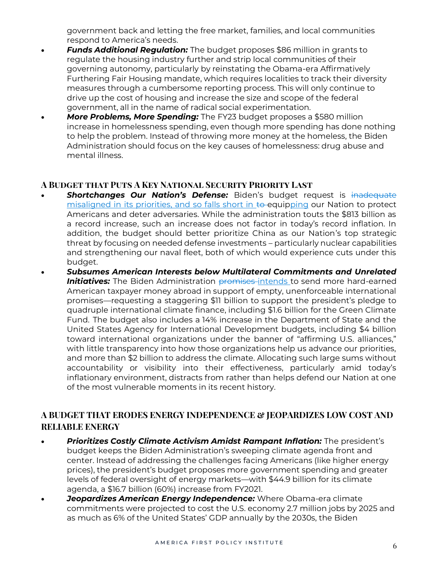government back and letting the free market, families, and local communities respond to America's needs.

- *Funds Additional Regulation:* The budget proposes \$86 million in grants to regulate the housing industry further and strip local communities of their governing autonomy, particularly by reinstating the Obama-era Affirmatively Furthering Fair Housing mandate, which requires localities to track their diversity measures through a cumbersome reporting process. This will only continue to drive up the cost of housing and increase the size and scope of the federal government, all in the name of radical social experimentation.
- **More Problems, More Spending:** The FY23 budget proposes a \$580 million increase in homelessness spending, even though more spending has done nothing to help the problem. Instead of throwing more money at the homeless, the Biden Administration should focus on the key causes of homelessness: drug abuse and mental illness.

#### **A Budget that Puts A Key National Security Priority Last**

- **Shortchanges Our Nation's Defense:** Biden's budget request is inadequate misaligned in its priorities, and so falls short in to equipping our Nation to protect Americans and deter adversaries. While the administration touts the \$813 billion as a record increase, such an increase does not factor in today's record inflation. In addition, the budget should better prioritize China as our Nation's top strategic threat by focusing on needed defense investments – particularly nuclear capabilities and strengthening our naval fleet, both of which would experience cuts under this budget.
- *Subsumes American Interests below Multilateral Commitments and Unrelated*  **Initiatives:** The Biden Administration promises-intends to send more hard-earned American taxpayer money abroad in support of empty, unenforceable international promises—requesting a staggering \$11 billion to support the president's pledge to quadruple international climate finance, including \$1.6 billion for the Green Climate Fund.  The budget also includes a 14% increase in the Department of State and the United States Agency for International Development budgets, including \$4 billion toward international organizations under the banner of "affirming U.S. alliances," with little transparency into how those organizations help us advance our priorities, and more than \$2 billion to address the climate. Allocating such large sums without accountability or visibility into their effectiveness, particularly amid today's inflationary environment, distracts from rather than helps defend our Nation at one of the most vulnerable moments in its recent history.

## **A BUDGET THAT ERODES ENERGY INDEPENDENCE & JEOPARDIZES LOW COST AND RELIABLE ENERGY**

- *Prioritizes Costly Climate Activism Amidst Rampant Inflation:* The president's budget keeps the Biden Administration's sweeping climate agenda front and center. Instead of addressing the challenges facing Americans (like higher energy prices), the president's budget proposes more government spending and greater levels of federal oversight of energy markets—with \$44.9 billion for its climate agenda, a \$16.7 billion (60%) increase from FY2021.
- **Jeopardizes American Energy Independence:** Where Obama-era climate commitments were projected to cost the U.S. economy 2.7 million jobs by 2025 and as much as 6% of the United States' GDP annually by the 2030s, the Biden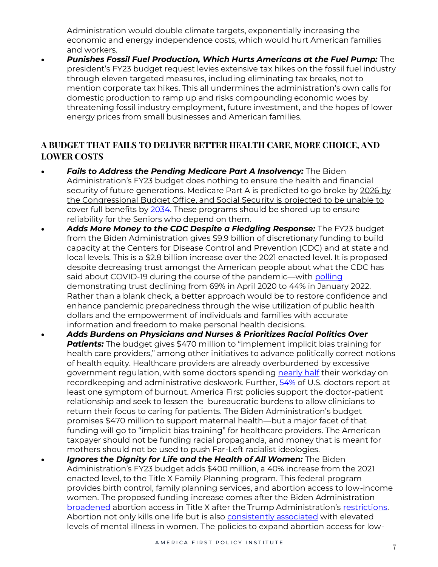Administration would double climate targets, exponentially increasing the economic and energy independence costs, which would hurt American families and workers.

• *Punishes Fossil Fuel Production, Which Hurts Americans at the Fuel Pump:* The president's FY23 budget request levies extensive tax hikes on the fossil fuel industry through eleven targeted measures, including eliminating tax breaks, not to mention corporate tax hikes. This all undermines the administration's own calls for domestic production to ramp up and risks compounding economic woes by threatening fossil industry employment, future investment, and the hopes of lower energy prices from small businesses and American families.

# **A BUDGET THAT FAILS TO DELIVER BETTER HEALTH CARE, MORE CHOICE, AND LOWER COSTS**

- *Fails to Address the Pending Medicare Part A Insolvency:* The Biden Administration's FY23 budget does nothing to ensure the health and financial security of future generations. Medicare Part A is predicted to go broke by 2026 by the Congressional Budget Office, and Social Security is projected to be unable to cover full benefits by [2034.](https://www.ssa.gov/policy/docs/ssb/v70n3/v70n3p111.html) These programs should be shored up to ensure reliability for the Seniors who depend on them.
- *Adds More Money to the CDC Despite a Fledgling Response:* The FY23 budget from the Biden Administration gives \$9.9 billion of discretionary funding to build capacity at the Centers for Disease Control and Prevention (CDC) and at state and local levels. This is a \$2.8 billion increase over the 2021 enacted level. It is proposed despite decreasing trust amongst the American people about what the CDC has said about COVID-19 during the course of the pandemic—with [polling](https://s3.documentcloud.org/documents/21184709/220027-nbc-news-january-poll.pdf) demonstrating trust declining from 69% in April 2020 to 44% in January 2022. Rather than a blank check, a better approach would be to restore confidence and enhance pandemic preparedness through the wise utilization of public health dollars and the empowerment of individuals and families with accurate information and freedom to make personal health decisions.
- *Adds Burdens on Physicians and Nurses & Prioritizes Racial Politics Over*  **Patients:** The budget gives \$470 million to "implement implicit bias training for health care providers," among other initiatives to advance politically correct notions of health equity. Healthcare providers are already overburdened by excessive government regulation, with some doctors spending [nearly half](https://www.acpjournals.org/doi/10.7326/M16-0961?articleid=2546704) their workday on recordkeeping and administrative deskwork. Further, [54% o](https://www.mayoclinicproceedings.org/article/S0025-6196(15)00716-8/fulltext)f U.S. doctors report at least one symptom of burnout. America First policies support the doctor-patient relationship and seek to lessen the bureaucratic burdens to allow clinicians to return their focus to caring for patients. The Biden Administration's budget promises \$470 million to support maternal health—but a major facet of that funding will go to "implicit bias training" for healthcare providers. The American taxpayer should not be funding racial propaganda, and money that is meant for mothers should not be used to push Far-Left racialist ideologies.
- Ignores the Dignity for Life and the Health of All Women: The Biden Administration's FY23 budget adds \$400 million, a 40% increase from the 2021 enacted level, to the Title X Family Planning program. This federal program provides birth control, family planning services, and abortion access to low-income women. The proposed funding increase comes after the Biden Administration [broadened](https://www.federalregister.gov/documents/2021/10/07/2021-21542/ensuring-access-to-equitable-affordable-client-centered-quality-family-planning-services) abortion access in Title X after the Trump Administration's [restrictions.](https://www.federalregister.gov/documents/2019/03/04/2019-03461/compliance-with-statutory-program-integrity-requirements)  Abortion not only kills one life but is also [consistently associated](https://www.ncbi.nlm.nih.gov/pmc/articles/PMC6207970/) with elevated levels of mental illness in women. The policies to expand abortion access for low-